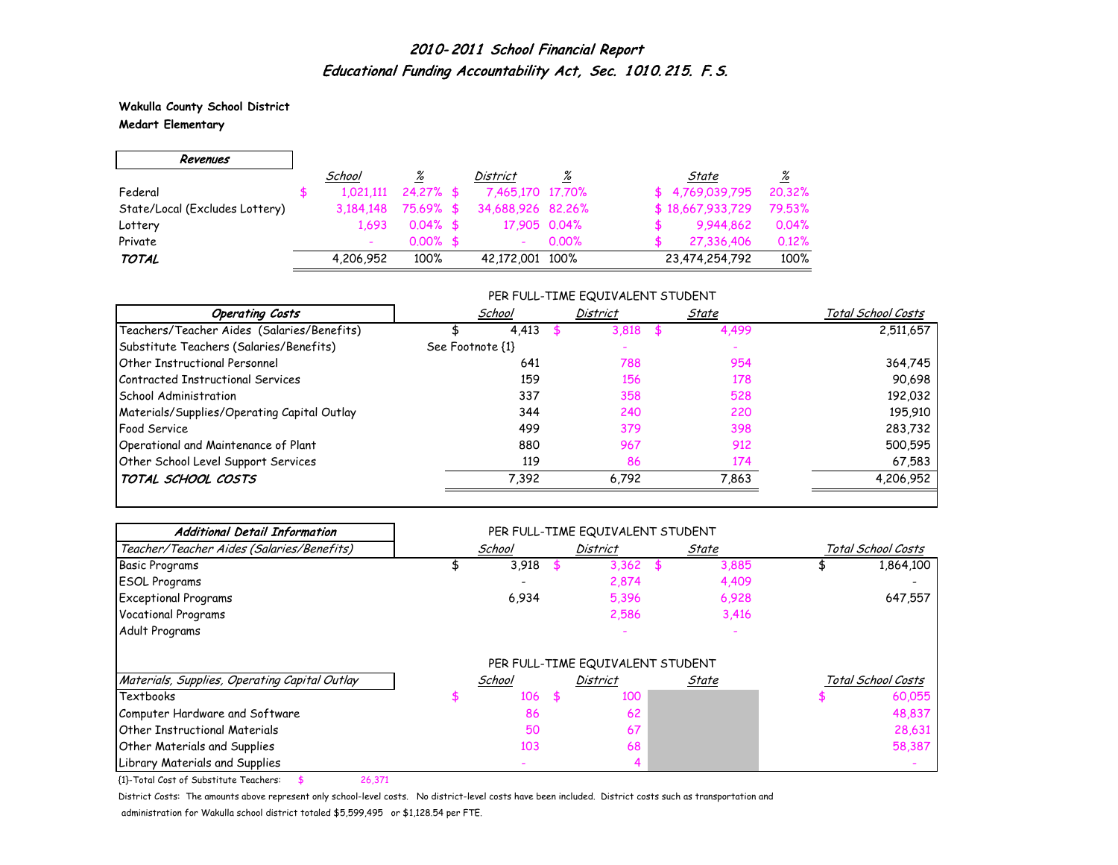**Wakulla County School District Medart Elementary**

 $\overline{\phantom{0}}$ 

 $\Gamma$ 

| Revenues                       |           |              |                          |       |                  |                          |
|--------------------------------|-----------|--------------|--------------------------|-------|------------------|--------------------------|
|                                | School    | %            | District                 | %     | State            | $\frac{\%}{\frac{1}{2}}$ |
| Federal                        | 1.021.111 | $24.27\%$ \$ | 7,465,170 17,70%         |       | \$4,769,039,795  | 20.32%                   |
| State/Local (Excludes Lottery) | 3.184.148 | 75.69% \$    | 34,688,926 82,26%        |       | \$18,667,933,729 | 79.53%                   |
| Lottery                        | 1.693     | $0.04\%$ \$  | 17,905 0.04%             |       | 9.944,862        | 0.04%                    |
| Private                        |           | $0.00\%$ \$  | $\overline{\phantom{a}}$ | 0.00% | 27,336,406       | 0.12%                    |
| <b>TOTAL</b>                   | 4,206,952 | 100%         | 42,172,001 100%          |       | 23,474,254,792   | 100%                     |

#### PER FULL-TIME EQUIVALENT STUDENT

| <b>Operating Costs</b>                      | School           | <b>District</b> | State | Total School Costs |
|---------------------------------------------|------------------|-----------------|-------|--------------------|
| Teachers/Teacher Aides (Salaries/Benefits)  | 4,413            | 3,818           | 4,499 | 2,511,657          |
| Substitute Teachers (Salaries/Benefits)     | See Footnote {1} |                 |       |                    |
| Other Instructional Personnel               | 641              | 788             | 954   | 364,745            |
| Contracted Instructional Services           | 159              | 156             | 178   | 90,698             |
| School Administration                       | 337              | 358             | 528   | 192,032            |
| Materials/Supplies/Operating Capital Outlay | 344              | 240             | 220   | 195,910            |
| <b>Food Service</b>                         | 499              | 379             | 398   | 283,732            |
| Operational and Maintenance of Plant        | 880              | 967             | 912   | 500,595            |
| Other School Level Support Services         | 119              | 86              | 174   | 67,583             |
| TOTAL SCHOOL COSTS                          | 7,392            | 6,792           | 7,863 | 4,206,952          |

| <b>Additional Detail Information</b>          |        | PER FULL-TIME EQUIVALENT STUDENT |       |                    |
|-----------------------------------------------|--------|----------------------------------|-------|--------------------|
| Teacher/Teacher Aides (Salaries/Benefits)     | School | <b>District</b>                  | State | Total School Costs |
| <b>Basic Programs</b>                         | 3,918  | $3,362$ \$                       | 3,885 | 1,864,100          |
| <b>ESOL Programs</b>                          |        | 2,874                            | 4,409 |                    |
| <b>Exceptional Programs</b>                   | 6,934  | 5,396                            | 6,928 | 647,557            |
| <b>Vocational Programs</b>                    |        | 2,586                            | 3,416 |                    |
| Adult Programs                                |        |                                  |       |                    |
|                                               |        | PER FULL-TIME EQUIVALENT STUDENT |       |                    |
| Materials, Supplies, Operating Capital Outlay | School | District                         | State | Total School Costs |
| Textbooks                                     | 106    | \$<br>100                        |       | 60,055             |
| Computer Hardware and Software                | 86     | 62                               |       | 48,837             |
| <b>Other Instructional Materials</b>          | 50     | 67                               |       | 28,631             |
| Other Materials and Supplies                  | 103    | 68                               |       | 58,387             |
| Library Materials and Supplies                |        |                                  |       |                    |

{1}-Total Cost of Substitute Teachers: \$ 26,371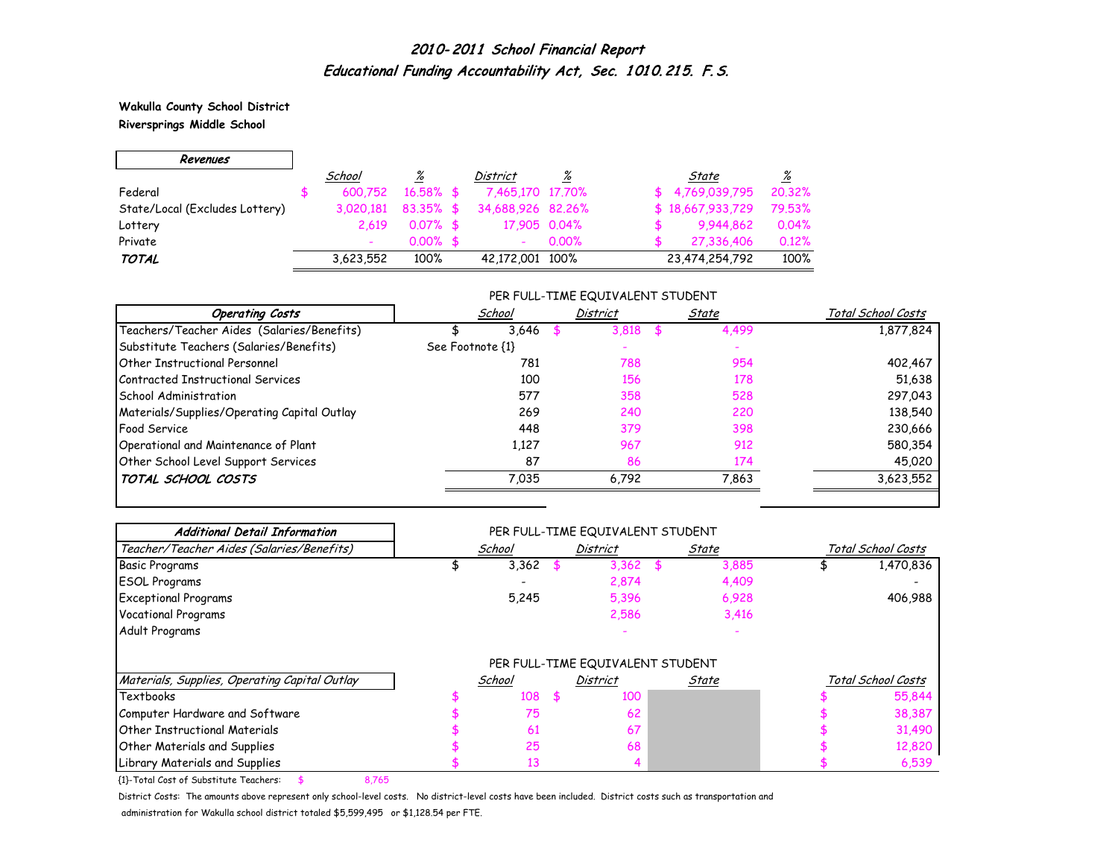**Wakulla County School District Riversprings Middle School**

 $\Gamma$ 

 $\overline{\phantom{0}}$ 

| Revenues                       |           |                 |                   |          |                  |                 |
|--------------------------------|-----------|-----------------|-------------------|----------|------------------|-----------------|
|                                | School    | $\frac{\%}{\%}$ | District          | %        | State            | $\frac{\%}{\%}$ |
| Federal                        | 600.752   | $16.58\%$ \$    | 7,465,170 17,70%  |          | \$4,769,039,795  | 20.32%          |
| State/Local (Excludes Lottery) | 3.020.181 | $83.35\%$ \$    | 34,688,926 82,26% |          | \$18,667,933,729 | 79.53%          |
| Lottery                        | 2.619     | $0.07%$ \$      | 17,905 0.04%      |          | 9,944,862        | 0.04%           |
| Private                        |           | $0.00\%$ \$     |                   | $0.00\%$ | 27,336,406       | 0.12%           |
| <b>TOTAL</b>                   | 3,623,552 | 100%            | 42,172,001 100%   |          | 23,474,254,792   | 100%            |

#### PER FULL-TIME EQUIVALENT STUDENT

| <b>Operating Costs</b>                      | School           | District | State | Total School Costs |
|---------------------------------------------|------------------|----------|-------|--------------------|
| Teachers/Teacher Aides (Salaries/Benefits)  | 3,646            | 3.818    | 4,499 | 1,877,824          |
| Substitute Teachers (Salaries/Benefits)     | See Footnote {1} |          |       |                    |
| <b>Other Instructional Personnel</b>        | 781              | 788      | 954   | 402,467            |
| Contracted Instructional Services           | 100              | 156      | 178   | 51,638             |
| School Administration                       | 577              | 358      | 528   | 297,043            |
| Materials/Supplies/Operating Capital Outlay | 269              | 240      | 220   | 138,540            |
| <b>Food Service</b>                         | 448              | 379      | 398   | 230,666            |
| Operational and Maintenance of Plant        | 1,127            | 967      | 912   | 580,354            |
| Other School Level Support Services         | 87               | 86       | 174   | 45,020             |
| TOTAL SCHOOL COSTS                          | 7,035            | 6,792    | 7,863 | 3,623,552          |

| <b>Additional Detail Information</b>          |        | PER FULL-TIME EQUIVALENT STUDENT |      |       |                    |
|-----------------------------------------------|--------|----------------------------------|------|-------|--------------------|
| Teacher/Teacher Aides (Salaries/Benefits)     | School | <b>District</b>                  |      | State | Total School Costs |
| Basic Programs                                | 3,362  | 3,362                            | - \$ | 3,885 | 1,470,836          |
| <b>ESOL Programs</b>                          |        | 2,874                            |      | 4,409 |                    |
| <b>Exceptional Programs</b>                   | 5,245  | 5,396                            |      | 6,928 | 406,988            |
| <b>Vocational Programs</b>                    |        | 2,586                            |      | 3,416 |                    |
| Adult Programs                                |        |                                  |      |       |                    |
|                                               |        | PER FULL-TIME EQUIVALENT STUDENT |      |       |                    |
| Materials, Supplies, Operating Capital Outlay | School | <b>District</b>                  |      | State | Total School Costs |
| Textbooks                                     | 108    | \$<br>100                        |      |       | 55,844             |
| Computer Hardware and Software                | 75     | 62                               |      |       | 38,387             |
| Other Instructional Materials                 | 61     | 67                               |      |       | 31,490             |
| Other Materials and Supplies                  | 25     | 68                               |      |       | 12,820             |
| Library Materials and Supplies                | 13     |                                  |      |       | 6,539              |

{1}-Total Cost of Substitute Teachers: \$ 8,765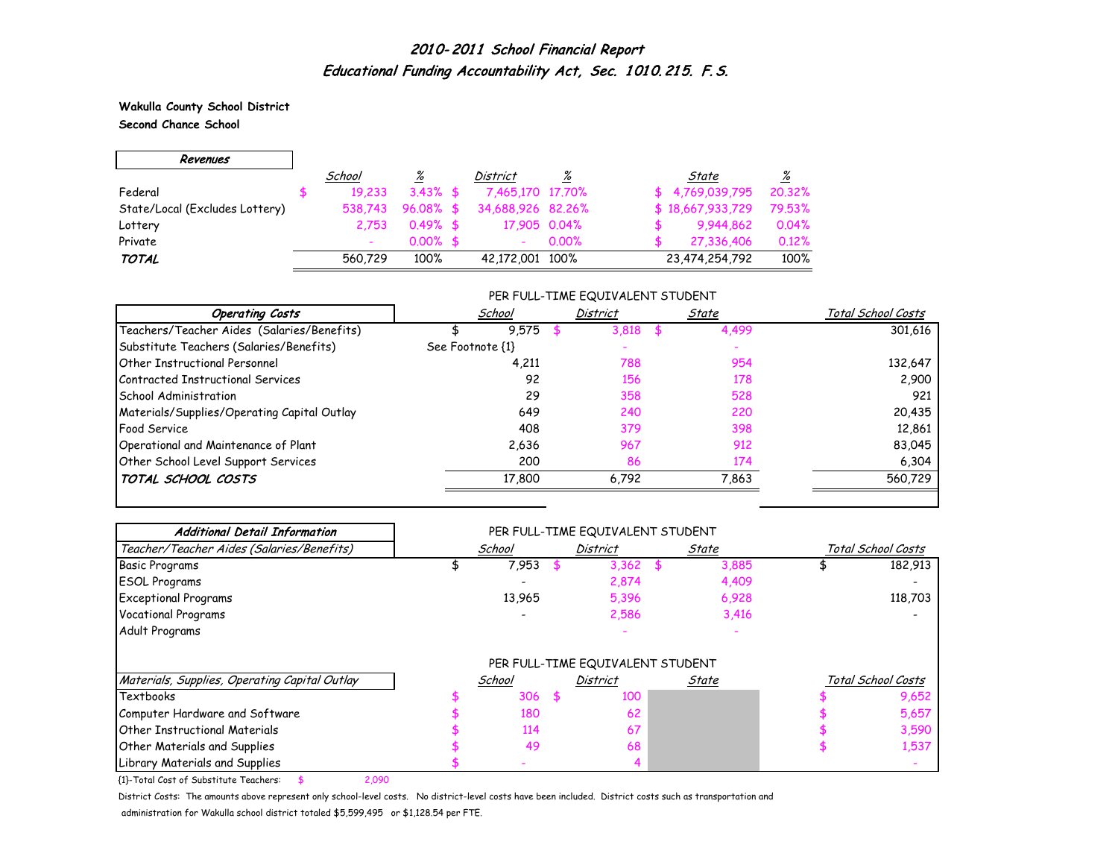**Wakulla County School District Second Chance School**

 $\overline{\phantom{0}}$ 

 $\Gamma$ 

| Revenues                       |         |             |                   |       |                  |                       |
|--------------------------------|---------|-------------|-------------------|-------|------------------|-----------------------|
|                                | School  | %           | District          | %     | State            | $\frac{\%}{\sqrt{2}}$ |
| Federal                        | 19.233  | $3.43\%$ \$ | 7,465,170 17,70%  |       | \$4,769,039,795  | 20.32%                |
| State/Local (Excludes Lottery) | 538,743 | $96.08%$ \$ | 34,688,926 82,26% |       | \$18,667,933,729 | 79.53%                |
| Lottery                        | 2.753   | $0.49%$ \$  | 17,905 0.04%      |       | 9,944,862        | 0.04%                 |
| Private                        |         | $0.00\%$ \$ |                   | 0.00% | 27,336,406       | 0.12%                 |
| <b>TOTAL</b>                   | 560.729 | 100%        | 42,172,001 100%   |       | 23,474,254,792   | 100%                  |

#### PER FULL-TIME EQUIVALENT STUDENT

| <b>Operating Costs</b>                      | School           | <b>District</b> | State | Total School Costs |
|---------------------------------------------|------------------|-----------------|-------|--------------------|
| Teachers/Teacher Aides (Salaries/Benefits)  | 9.575            | 3.818           | 4,499 | 301,616            |
| Substitute Teachers (Salaries/Benefits)     | See Footnote {1} |                 |       |                    |
| <b>Other Instructional Personnel</b>        | 4,211            | 788             | 954   | 132,647            |
| Contracted Instructional Services           | 92               | 156             | 178   | 2,900              |
| School Administration                       | 29               | 358             | 528   | 921                |
| Materials/Supplies/Operating Capital Outlay | 649              | 240             | 220   | 20,435             |
| <b>Food Service</b>                         | 408              | 379             | 398   | 12,861             |
| Operational and Maintenance of Plant        | 2,636            | 967             | 912   | 83,045             |
| Other School Level Support Services         | 200              | 86              | 174   | 6,304              |
| TOTAL SCHOOL COSTS                          | 17,800           | 6,792           | 7,863 | 560,729            |

| <b>Additional Detail Information</b>          |        | PER FULL-TIME EQUIVALENT STUDENT |       |       |                    |
|-----------------------------------------------|--------|----------------------------------|-------|-------|--------------------|
| Teacher/Teacher Aides (Salaries/Benefits)     | School | <b>District</b>                  | State |       | Total School Costs |
| <b>Basic Programs</b>                         | 7,953  | $3,362$ \$                       |       | 3,885 | 182,913            |
| <b>ESOL Programs</b>                          |        | 2,874                            |       | 4,409 |                    |
| <b>Exceptional Programs</b>                   | 13,965 | 5,396                            |       | 6,928 | 118,703            |
| Vocational Programs                           |        | 2,586                            |       | 3,416 |                    |
| Adult Programs                                |        |                                  |       |       |                    |
|                                               |        | PER FULL-TIME EQUIVALENT STUDENT |       |       |                    |
| Materials, Supplies, Operating Capital Outlay | School | <b>District</b>                  | State |       | Total School Costs |
| Textbooks                                     | 306    | \$<br>100                        |       |       | 9,652              |
| Computer Hardware and Software                | 180    | 62                               |       |       | 5,657              |
| Other Instructional Materials                 | 114    | 67                               |       |       | 3,590              |
| Other Materials and Supplies                  | 49     | 68                               |       |       | 1,537              |
| Library Materials and Supplies                |        |                                  |       |       |                    |

{1}-Total Cost of Substitute Teachers: \$ 2,090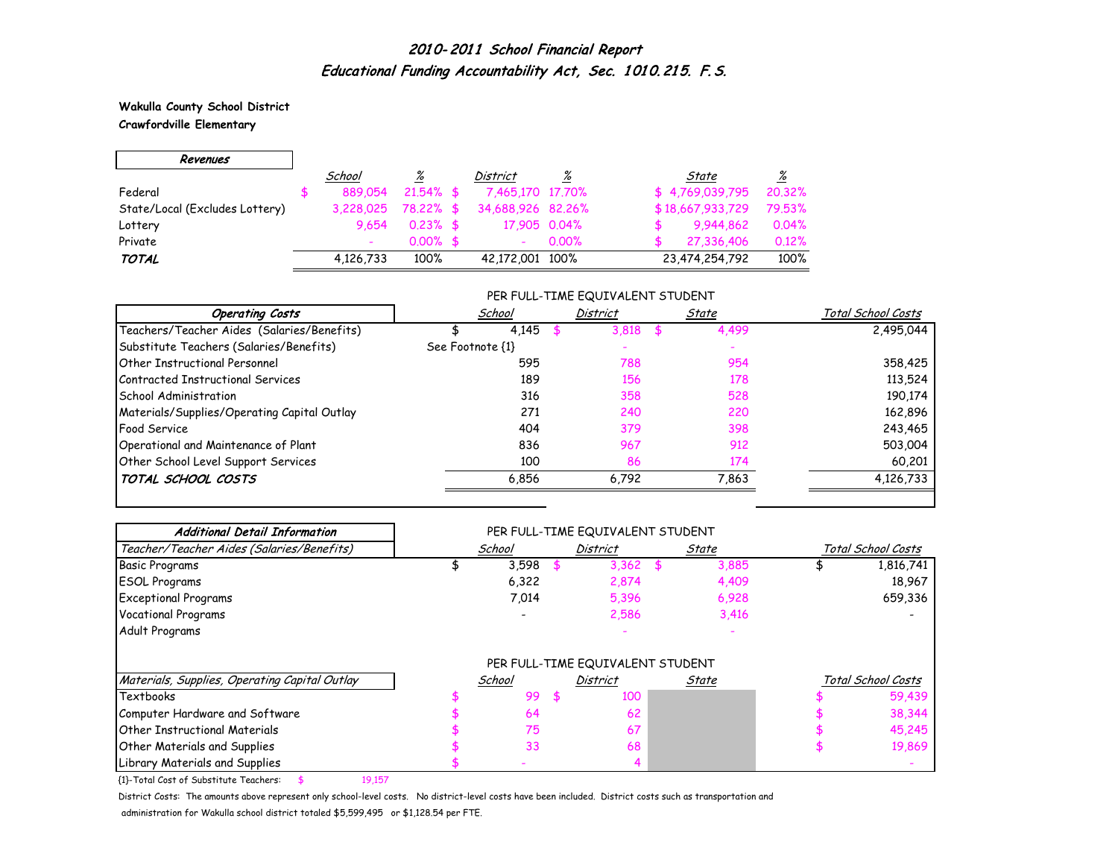**Wakulla County School District Crawfordville Elementary**

 $\overline{\phantom{0}}$ 

 $\Gamma$ 

| Revenues                       |                          |              |                          |          |                  |                 |
|--------------------------------|--------------------------|--------------|--------------------------|----------|------------------|-----------------|
|                                | School                   | %            | District                 | <u>%</u> | State            | $\frac{\%}{\%}$ |
| Federal                        | 889.054                  | $21.54\%$ \$ | 7,465,170 17,70%         |          | \$4,769,039,795  | 20.32%          |
| State/Local (Excludes Lottery) | 3.228.025                | 78,22% \$    | 34,688,926 82,26%        |          | \$18,667,933,729 | 79.53%          |
| Lottery                        | 9.654                    | $0.23\%$ \$  | 17,905 0.04%             |          | 9,944,862        | 0.04%           |
| Private                        | $\overline{\phantom{0}}$ | $0.00\%$ \$  | $\overline{\phantom{0}}$ | $0.00\%$ | 27,336,406       | 0.12%           |
| TOTAL                          | 4,126,733                | 100%         | 42,172,001 100%          |          | 23,474,254,792   | 100%            |

#### PER FULL-TIME EQUIVALENT STUDENT

| <b>Operating Costs</b>                      | School           | District | State       | Total School Costs |
|---------------------------------------------|------------------|----------|-------------|--------------------|
| Teachers/Teacher Aides (Salaries/Benefits)  | 4.145            | 3.818    | 4,499<br>56 | 2,495,044          |
| Substitute Teachers (Salaries/Benefits)     | See Footnote {1} |          |             |                    |
| Other Instructional Personnel               | 595              | 788      | 954         | 358,425            |
| Contracted Instructional Services           | 189              | 156      | 178         | 113,524            |
| <b>School Administration</b>                | 316              | 358      | 528         | 190,174            |
| Materials/Supplies/Operating Capital Outlay | 271              | 240      | 220         | 162,896            |
| <b>Food Service</b>                         | 404              | 379      | 398         | 243,465            |
| Operational and Maintenance of Plant        | 836              | 967      | 912         | 503,004            |
| Other School Level Support Services         | 100              | 86       | 174         | 60,201             |
| TOTAL SCHOOL COSTS                          | 6,856            | 6,792    | 7,863       | 4,126,733          |

| <b>Additional Detail Information</b>          |        | PER FULL-TIME EQUIVALENT STUDENT |       |       |                    |                    |  |
|-----------------------------------------------|--------|----------------------------------|-------|-------|--------------------|--------------------|--|
| Teacher/Teacher Aides (Salaries/Benefits)     | School | <b>District</b><br>State         |       |       | Total School Costs |                    |  |
| <b>Basic Programs</b>                         | 3,598  | $3,362$ \$                       |       | 3,885 |                    | 1,816,741          |  |
| <b>ESOL Programs</b>                          | 6,322  | 2,874                            |       | 4,409 |                    | 18,967             |  |
| <b>Exceptional Programs</b>                   | 7,014  | 5,396                            |       | 6,928 |                    | 659,336            |  |
| Vocational Programs                           |        | 2,586                            |       | 3,416 |                    |                    |  |
| Adult Programs                                |        |                                  |       |       |                    |                    |  |
|                                               |        | PER FULL-TIME EQUIVALENT STUDENT |       |       |                    |                    |  |
| Materials, Supplies, Operating Capital Outlay | School | <b>District</b>                  | State |       |                    | Total School Costs |  |
| Textbooks                                     | 99     | \$<br>100                        |       |       |                    | 59,439             |  |
| Computer Hardware and Software                | 64     | 62                               |       |       |                    | 38,344             |  |
| <b>Other Instructional Materials</b>          | 75     | 67                               |       |       |                    | 45,245             |  |
| Other Materials and Supplies                  | 33     | 68                               |       |       |                    | 19,869             |  |
| Library Materials and Supplies                |        |                                  |       |       |                    |                    |  |

{1}-Total Cost of Substitute Teachers: \$ 19,157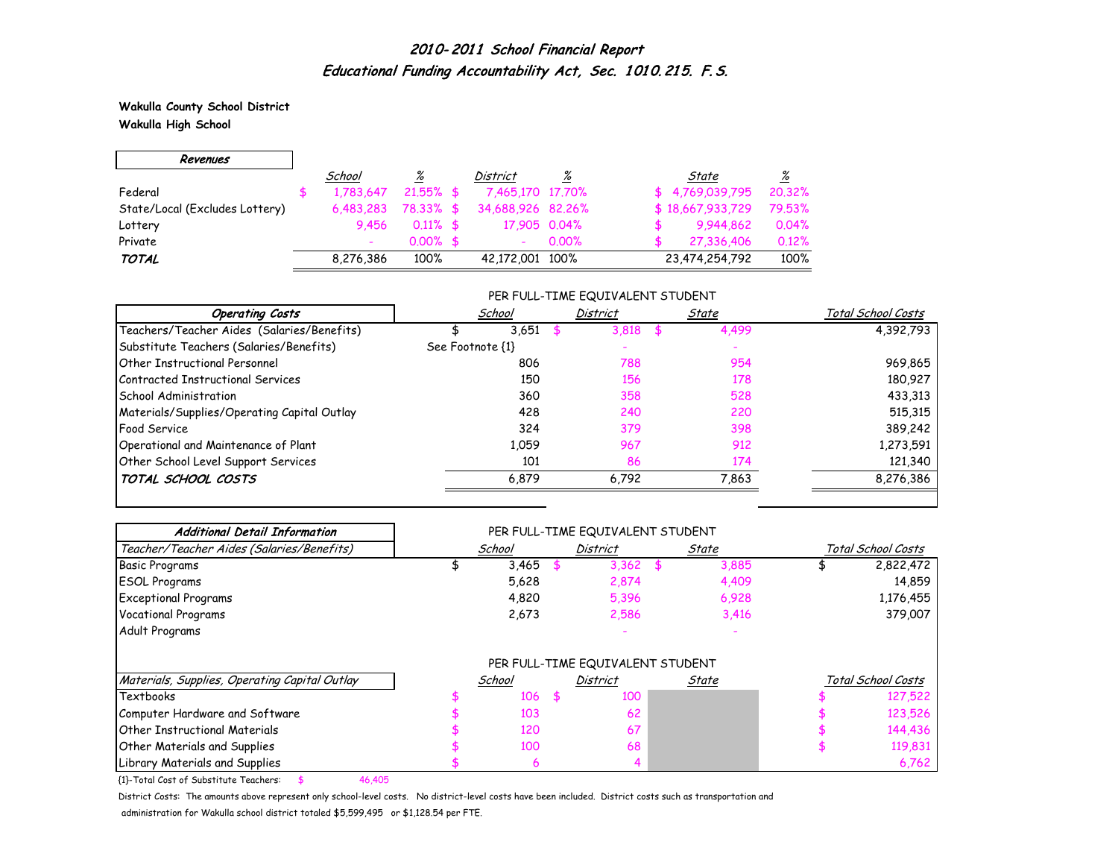**Wakulla County School District Wakulla High School**

 $\overline{\phantom{0}}$ 

 $\Gamma$ 

| Revenues                       |           |                 |                   |          |                  |                 |
|--------------------------------|-----------|-----------------|-------------------|----------|------------------|-----------------|
|                                | School    | $\frac{\%}{\%}$ | District          | %        | State            | $\frac{\%}{\%}$ |
| Federal                        | 1.783.647 | $21.55\%$ \$    | 7,465,170 17,70%  |          | \$4,769,039,795  | 20.32%          |
| State/Local (Excludes Lottery) | 6,483,283 | 78.33% \$       | 34,688,926 82,26% |          | \$18,667,933,729 | 79.53%          |
| Lottery                        | 9.456     | $0.11\%$ \$     | 17,905 0.04%      |          | 9,944,862        | 0.04%           |
| Private                        |           | $0.00\%$ \$     |                   | $0.00\%$ | 27,336,406       | 0.12%           |
| <b>TOTAL</b>                   | 8,276,386 | 100%            | 42,172,001 100%   |          | 23,474,254,792   | 100%            |

#### PER FULL-TIME EQUIVALENT STUDENT

| <b>Operating Costs</b>                      | School           | <b>District</b> | State       | Total School Costs |
|---------------------------------------------|------------------|-----------------|-------------|--------------------|
| Teachers/Teacher Aides (Salaries/Benefits)  | 3.651            | 3,818           | 4,499<br>Æ. | 4,392,793          |
| Substitute Teachers (Salaries/Benefits)     | See Footnote {1} |                 |             |                    |
| Other Instructional Personnel               | 806              | 788             | 954         | 969,865            |
| Contracted Instructional Services           | 150              | 156             | 178         | 180,927            |
| School Administration                       | 360              | 358             | 528         | 433,313            |
| Materials/Supplies/Operating Capital Outlay | 428              | 240             | 220         | 515,315            |
| <b>Food Service</b>                         | 324              | 379             | 398         | 389,242            |
| Operational and Maintenance of Plant        | 1,059            | 967             | 912         | 1,273,591          |
| Other School Level Support Services         | 101              | 86              | 174         | 121,340            |
| TOTAL SCHOOL COSTS                          | 6,879            | 6,792           | 7,863       | 8,276,386          |

| <b>Additional Detail Information</b>          |        | PER FULL-TIME EQUIVALENT STUDENT |       |                    |
|-----------------------------------------------|--------|----------------------------------|-------|--------------------|
| Teacher/Teacher Aides (Salaries/Benefits)     | School | <b>District</b>                  | State | Total School Costs |
| <b>Basic Programs</b>                         | 3,465  | $3,362$ \$                       | 3,885 | 2,822,472          |
| <b>ESOL Programs</b>                          | 5,628  | 2,874                            | 4,409 | 14,859             |
| <b>Exceptional Programs</b>                   | 4,820  | 5,396                            | 6,928 | 1,176,455          |
| Vocational Programs                           | 2,673  | 2,586                            | 3,416 | 379,007            |
| Adult Programs                                |        |                                  |       |                    |
|                                               |        | PER FULL-TIME EQUIVALENT STUDENT |       |                    |
| Materials, Supplies, Operating Capital Outlay | School | <b>District</b>                  | State | Total School Costs |
| Textbooks                                     | 106    | \$<br>100                        |       | 127,522            |
| Computer Hardware and Software                | 103    | 62                               |       | 123,526            |
| <b>Other Instructional Materials</b>          | 120    | 67                               |       | 144,436            |
| Other Materials and Supplies                  | 100    | 68                               |       | 119,831            |
| Library Materials and Supplies                | 6      |                                  |       | 6,762              |

{1}-Total Cost of Substitute Teachers: \$ 46,405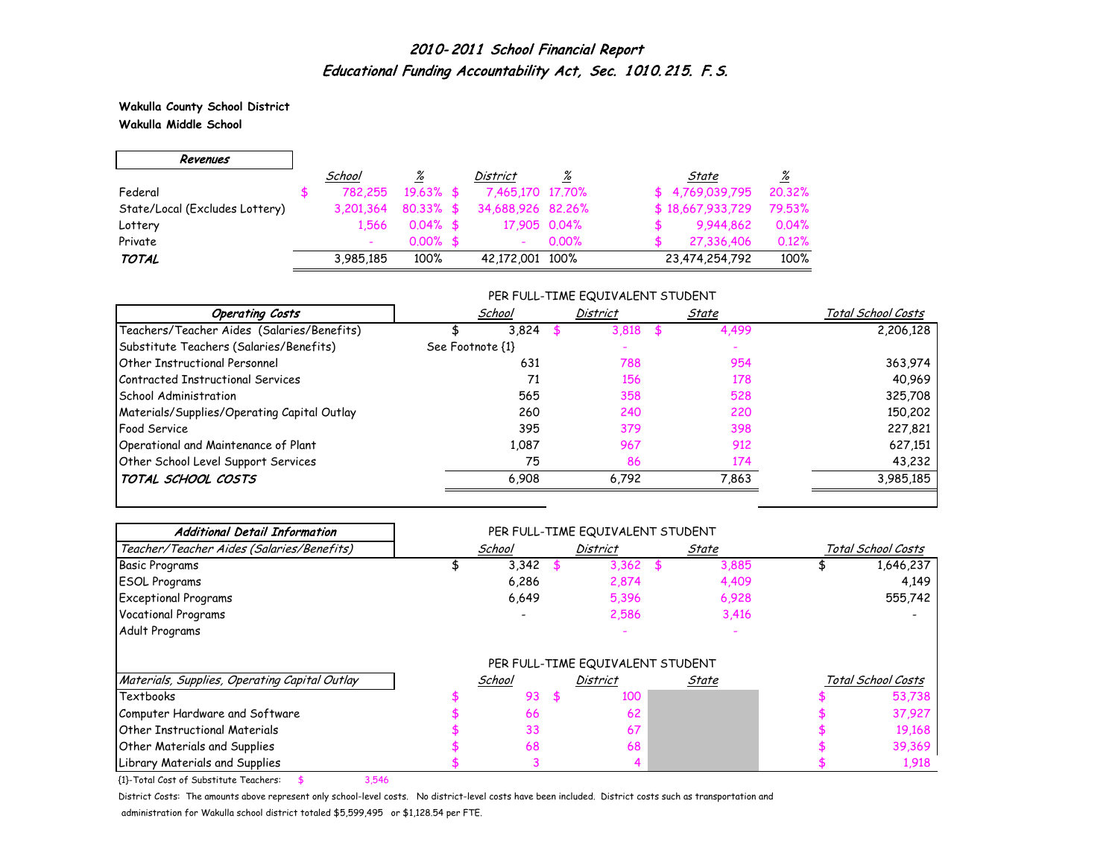**Wakulla County School District Wakulla Middle School**

 $\Gamma$ 

| Revenues                       |           |              |                   |          |                  |        |
|--------------------------------|-----------|--------------|-------------------|----------|------------------|--------|
|                                | School    | ℅            | District          | %        | State            | %      |
| Federal                        | 782.255   | $19.63\%$ \$ | 7,465,170 17,70%  |          | \$4,769,039,795  | 20.32% |
| State/Local (Excludes Lottery) | 3,201,364 | $80.33\%$ \$ | 34,688,926 82,26% |          | \$18,667,933,729 | 79.53% |
| Lottery                        | 1.566     | $0.04\%$ \$  | 17,905 0.04%      |          | 9,944,862        | 0.04%  |
| Private                        |           | $0.00\%$ \$  |                   | $0.00\%$ | 27,336,406       | 0.12%  |
| <b>TOTAL</b>                   | 3,985,185 | 100%         | 42,172,001 100%   |          | 23,474,254,792   | 100%   |

#### PER FULL-TIME EQUIVALENT STUDENT

| <b>Operating Costs</b>                      | School           | <b>District</b> | State | Total School Costs |
|---------------------------------------------|------------------|-----------------|-------|--------------------|
| Teachers/Teacher Aides (Salaries/Benefits)  | 3,824            | 3,818           | 4,499 | 2,206,128          |
| Substitute Teachers (Salaries/Benefits)     | See Footnote {1} |                 |       |                    |
| <b>Other Instructional Personnel</b>        | 631              | 788             | 954   | 363,974            |
| Contracted Instructional Services           | 71               | 156             | 178   | 40,969             |
| School Administration                       | 565              | 358             | 528   | 325,708            |
| Materials/Supplies/Operating Capital Outlay | 260              | 240             | 220   | 150,202            |
| <b>Food Service</b>                         | 395              | 379             | 398   | 227,821            |
| Operational and Maintenance of Plant        | 1,087            | 967             | 912   | 627,151            |
| Other School Level Support Services         | 75               | 86              | 174   | 43,232             |
| TOTAL SCHOOL COSTS                          | 6,908            | 6,792           | 7,863 | 3,985,185          |

| <b>Additional Detail Information</b>          |        | PER FULL-TIME EQUIVALENT STUDENT |       |                    |
|-----------------------------------------------|--------|----------------------------------|-------|--------------------|
| Teacher/Teacher Aides (Salaries/Benefits)     | School | <b>District</b>                  | State | Total School Costs |
| <b>Basic Programs</b>                         | 3,342  | $3,362$ \$                       | 3,885 | 1,646,237          |
| <b>ESOL Programs</b>                          | 6,286  | 2,874                            | 4,409 | 4,149              |
| <b>Exceptional Programs</b>                   | 6,649  | 5,396                            | 6,928 | 555,742            |
| Vocational Programs                           |        | 2,586                            | 3,416 |                    |
| Adult Programs                                |        |                                  |       |                    |
|                                               |        | PER FULL-TIME EQUIVALENT STUDENT |       |                    |
| Materials, Supplies, Operating Capital Outlay | School | <b>District</b>                  | State | Total School Costs |
| Textbooks                                     | 93     | \$<br>100                        |       | 53,738             |
| Computer Hardware and Software                | 66     | 62                               |       | 37,927             |
| <b>Other Instructional Materials</b>          | 33     | 67                               |       | 19,168             |
| <b>Other Materials and Supplies</b>           | 68     | 68                               |       | 39,369             |
| Library Materials and Supplies                |        |                                  |       | 1,918              |

{1}-Total Cost of Substitute Teachers: \$ 3,546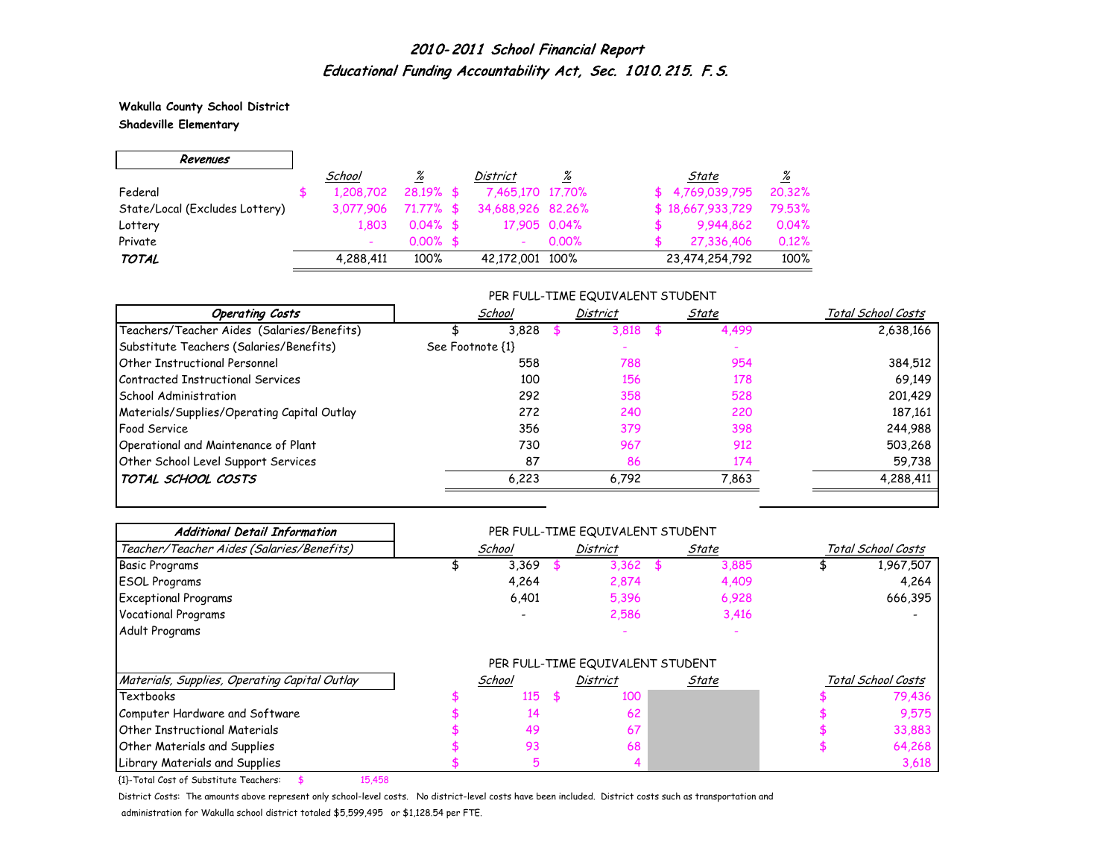**Wakulla County School District**

 $\overline{\phantom{0}}$ 

**Shadeville Elementary**

 $\Gamma$ 

| Revenues                       |           |              |                          |          |                  |                          |
|--------------------------------|-----------|--------------|--------------------------|----------|------------------|--------------------------|
|                                | School    | %            | District                 | <u>%</u> | State            | $\frac{\%}{\frac{1}{2}}$ |
| Federal                        | 1,208,702 | $28.19%$ \$  | 7,465,170 17,70%         |          | \$4.769.039.795  | 20,32%                   |
| State/Local (Excludes Lottery) | 3,077,906 | $71.77\%$ \$ | 34,688,926 82,26%        |          | \$18,667,933,729 | 79.53%                   |
| Lottery                        | 1.803     | $0.04\%$ \$  | 17,905 0.04%             |          | 9,944,862        | 0.04%                    |
| Private                        |           | $0.00\%$ \$  | $\overline{\phantom{0}}$ | $0.00\%$ | 27,336,406       | 0.12%                    |
| <b>TOTAL</b>                   | 4,288,411 | 100%         | 42,172,001 100%          |          | 23,474,254,792   | 100%                     |

#### PER FULL-TIME EQUIVALENT STUDENT

| <b>Operating Costs</b>                      | School           | <b>District</b> | State | Total School Costs |
|---------------------------------------------|------------------|-----------------|-------|--------------------|
| Teachers/Teacher Aides (Salaries/Benefits)  | 3,828            | 3.818           | 4,499 | 2,638,166          |
| Substitute Teachers (Salaries/Benefits)     | See Footnote {1} |                 |       |                    |
| Other Instructional Personnel               | 558              | 788             | 954   | 384,512            |
| Contracted Instructional Services           | 100              | 156             | 178   | 69,149             |
| School Administration                       | 292              | 358             | 528   | 201,429            |
| Materials/Supplies/Operating Capital Outlay | 272              | 240             | 220   | 187,161            |
| <b>Food Service</b>                         | 356              | 379             | 398   | 244,988            |
| Operational and Maintenance of Plant        | 730              | 967             | 912   | 503,268            |
| Other School Level Support Services         | 87               | 86              | 174   | 59,738             |
| TOTAL SCHOOL COSTS                          | 6,223            | 6,792           | 7,863 | 4,288,411          |

| <b>Additional Detail Information</b>          |        | PER FULL-TIME EQUIVALENT STUDENT |       |       |                    |
|-----------------------------------------------|--------|----------------------------------|-------|-------|--------------------|
| Teacher/Teacher Aides (Salaries/Benefits)     | School | <b>District</b>                  | State |       | Total School Costs |
| <b>Basic Programs</b>                         | 3,369  | 3,362                            |       | 3,885 | 1,967,507          |
| <b>ESOL Programs</b>                          | 4,264  | 2,874                            |       | 4,409 | 4,264              |
| <b>Exceptional Programs</b>                   | 6,401  | 5,396                            |       | 6,928 | 666,395            |
| <b>Vocational Programs</b>                    |        | 2,586                            |       | 3,416 |                    |
| Adult Programs                                |        |                                  |       |       |                    |
|                                               |        | PER FULL-TIME EQUIVALENT STUDENT |       |       |                    |
| Materials, Supplies, Operating Capital Outlay | School | <b>District</b>                  | State |       | Total School Costs |
| Textbooks                                     | 115    | \$<br>100                        |       |       | 79,436             |
| Computer Hardware and Software                | 14     | 62                               |       |       | 9,575              |
| <b>Other Instructional Materials</b>          | 49     | 67                               |       |       | 33,883             |
| Other Materials and Supplies                  | 93     | 68                               |       |       | 64,268             |
|                                               | 5      |                                  |       |       | 3,618              |

{1}-Total Cost of Substitute Teachers: \$ 15,458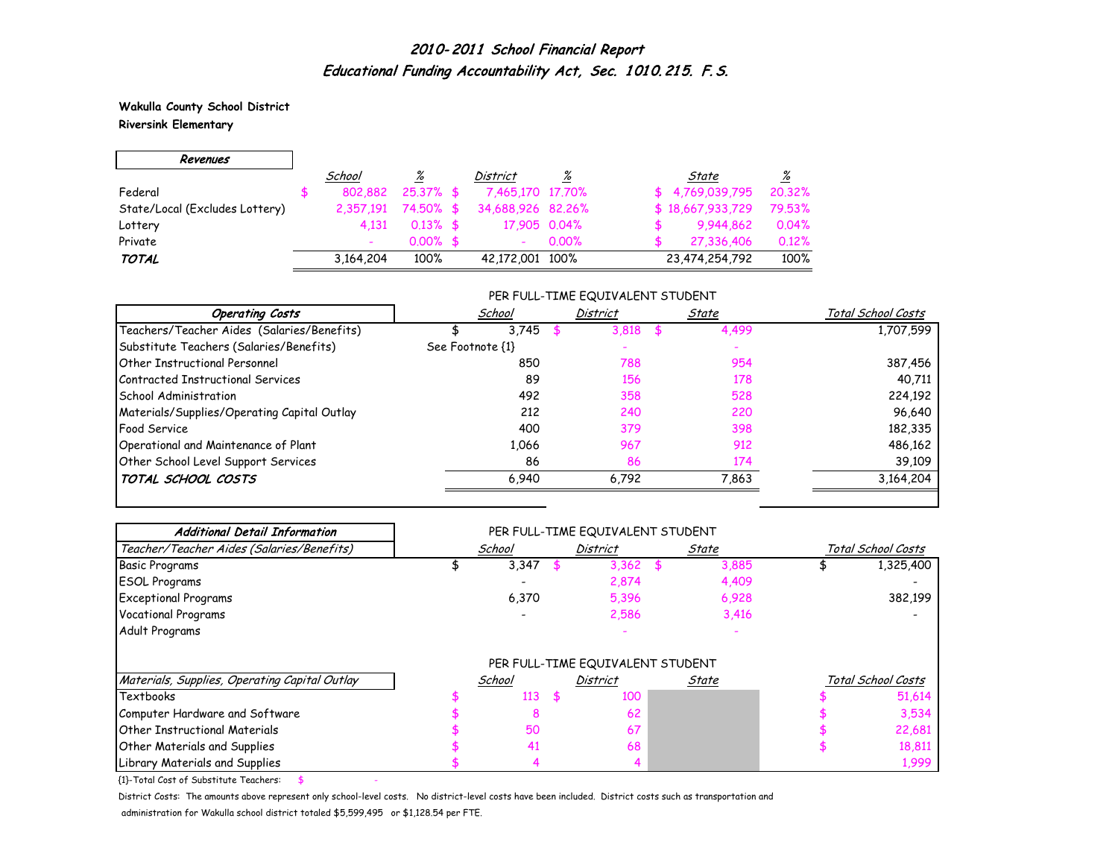**Wakulla County School District Riversink Elementary**

 $\overline{\phantom{0}}$ 

 $\Gamma$ 

| Revenues                       |           |              |                          |       |                  |          |
|--------------------------------|-----------|--------------|--------------------------|-------|------------------|----------|
|                                | School    | <u>%</u>     | District                 | %     | State            | <u>%</u> |
| Federal                        | 802.882   | $25.37\%$ \$ | 7,465,170 17,70%         |       | \$4,769,039,795  | 20.32%   |
| State/Local (Excludes Lottery) | 2.357.191 | 74.50% \$    | 34,688,926 82,26%        |       | \$18,667,933,729 | 79.53%   |
| Lottery                        | 4.131     | $0.13\%$ \$  | 17,905 0.04%             |       | 9.944,862        | 0.04%    |
| Private                        |           | $0.00\%$ \$  | $\overline{\phantom{a}}$ | 0.00% | 27,336,406       | 0.12%    |
| <b>TOTAL</b>                   | 3,164,204 | 100%         | 42,172,001 100%          |       | 23,474,254,792   | 100%     |

#### PER FULL-TIME EQUIVALENT STUDENT

| <b>Operating Costs</b>                      | School           | <b>District</b> | State | Total School Costs |
|---------------------------------------------|------------------|-----------------|-------|--------------------|
| Teachers/Teacher Aides (Salaries/Benefits)  | 3.745            | 3.818           | 4,499 | 1,707,599          |
| Substitute Teachers (Salaries/Benefits)     | See Footnote {1} |                 |       |                    |
| <b>Other Instructional Personnel</b>        | 850              | 788             | 954   | 387,456            |
| Contracted Instructional Services           | 89               | 156             | 178   | 40,711             |
| School Administration                       | 492              | 358             | 528   | 224,192            |
| Materials/Supplies/Operating Capital Outlay | 212              | 240             | 220   | 96,640             |
| <b>Food Service</b>                         | 400              | 379             | 398   | 182,335            |
| Operational and Maintenance of Plant        | 1,066            | 967             | 912   | 486,162            |
| Other School Level Support Services         | 86               | 86              | 174   | 39,109             |
| TOTAL SCHOOL COSTS                          | 6,940            | 6,792           | 7,863 | 3,164,204          |

| <b>Additional Detail Information</b>          |        | PER FULL-TIME EQUIVALENT STUDENT |       |                    |
|-----------------------------------------------|--------|----------------------------------|-------|--------------------|
| Teacher/Teacher Aides (Salaries/Benefits)     | School | <b>District</b>                  | State | Total School Costs |
| <b>Basic Programs</b>                         | 3,347  | 3,362                            | 3,885 | 1,325,400          |
| <b>ESOL Programs</b>                          |        | 2,874                            | 4,409 |                    |
| <b>Exceptional Programs</b>                   | 6,370  | 5,396                            | 6,928 | 382,199            |
| <b>Vocational Programs</b>                    |        | 2,586                            | 3,416 |                    |
| Adult Programs                                |        |                                  |       |                    |
|                                               |        | PER FULL-TIME EQUIVALENT STUDENT |       |                    |
| Materials, Supplies, Operating Capital Outlay | School | <b>District</b>                  | State | Total School Costs |
| Textbooks                                     | 113    | \$<br>100                        |       | 51,614             |
| Computer Hardware and Software                | o      | 62                               |       | 3,534              |
| <b>Other Instructional Materials</b>          | 50     | 67                               |       | 22,681             |
| Other Materials and Supplies                  | 41     | 68                               |       | 18,811             |
| Library Materials and Supplies                |        |                                  |       | 1,999              |

 ${1}$ -Total Cost of Substitute Teachers: \$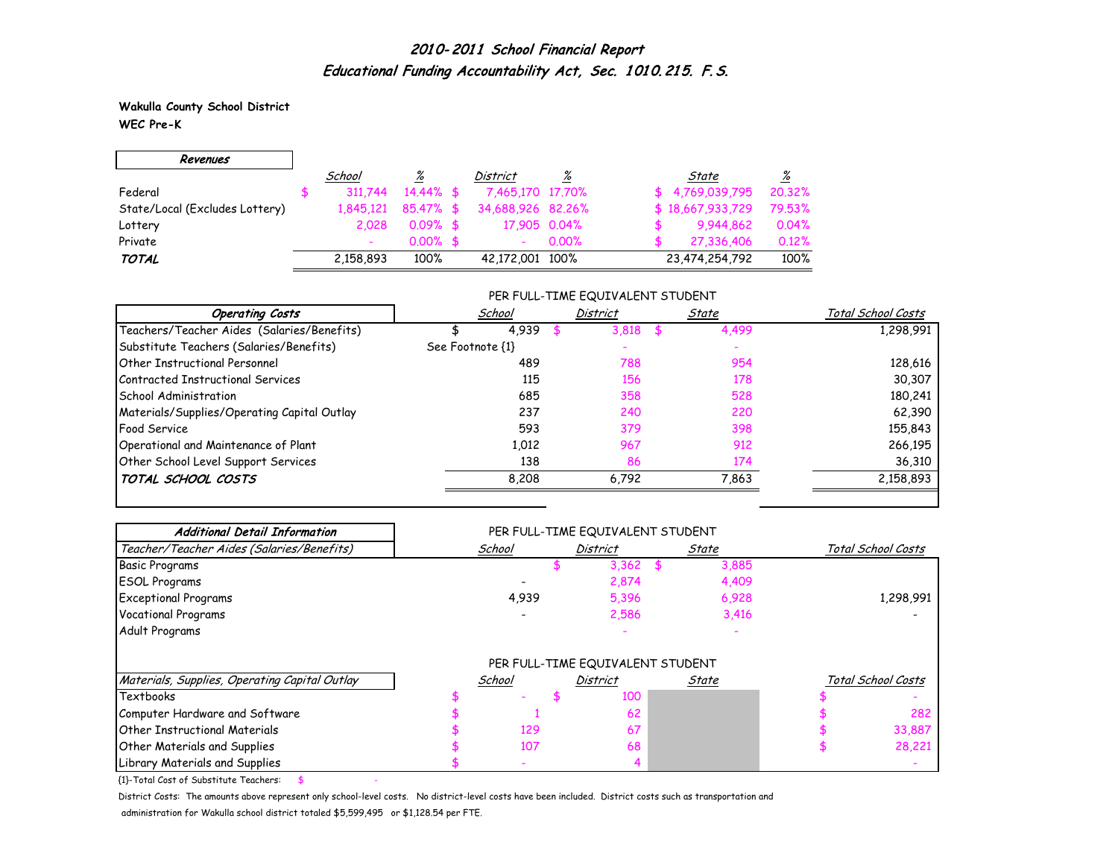**Wakulla County School District WEC Pre-K**

г

| Revenues                       |           |              |                   |          |                  |          |
|--------------------------------|-----------|--------------|-------------------|----------|------------------|----------|
|                                | School    | <u>%</u>     | District          | <u>%</u> | State            | <u>%</u> |
| Federal                        | 311.744   | $14.44\%$ \$ | 7,465,170 17,70%  |          | \$4,769,039,795  | 20.32%   |
| State/Local (Excludes Lottery) | 1.845.121 | $85.47%$ \$  | 34,688,926 82,26% |          | \$18,667,933,729 | 79.53%   |
| Lottery                        | 2.028     | $0.09%$ \$   | 17,905 0.04%      |          | 9.944,862        | 0.04%    |
| Private                        |           | $0.00\%$ \$  |                   | $0.00\%$ | 27.336.406       | 0.12%    |
| <b>TOTAL</b>                   | 2,158,893 | 100%         | 42,172,001 100%   |          | 23,474,254,792   | 100%     |

#### PER FULL-TIME EQUIVALENT STUDENT

| <b>Operating Costs</b>                      | School           | <b>District</b> | State | Total School Costs |  |
|---------------------------------------------|------------------|-----------------|-------|--------------------|--|
| Teachers/Teacher Aides (Salaries/Benefits)  | 4.939            | 3.818           | 4,499 | 1,298,991          |  |
| Substitute Teachers (Salaries/Benefits)     | See Footnote {1} |                 |       |                    |  |
| Other Instructional Personnel               | 489              | 788             | 954   | 128,616            |  |
| Contracted Instructional Services           | 115              | 156             | 178   | 30,307             |  |
| School Administration                       | 685              | 358             | 528   | 180,241            |  |
| Materials/Supplies/Operating Capital Outlay | 237              | 240             | 220   | 62,390             |  |
| <b>Food Service</b>                         | 593              | 379             | 398   | 155,843            |  |
| Operational and Maintenance of Plant        | 1,012            | 967             | 912   | 266,195            |  |
| Other School Level Support Services         | 138              | 86              | 174   | 36,310             |  |
| TOTAL SCHOOL COSTS                          | 8,208            | 6,792           | 7,863 | 2,158,893          |  |

| <b>Additional Detail Information</b>          | PER FULL-TIME EQUIVALENT STUDENT |        |  |                                  |       |       |  |                    |
|-----------------------------------------------|----------------------------------|--------|--|----------------------------------|-------|-------|--|--------------------|
| Teacher/Teacher Aides (Salaries/Benefits)     |                                  | School |  | <b>District</b>                  | State |       |  | Total School Costs |
| <b>Basic Programs</b>                         |                                  |        |  | 3,362                            |       | 3,885 |  |                    |
| <b>ESOL Programs</b>                          |                                  |        |  | 2,874                            |       | 4,409 |  |                    |
| <b>Exceptional Programs</b>                   |                                  | 4,939  |  | 5,396                            |       | 6,928 |  | 1,298,991          |
| <b>Vocational Programs</b>                    |                                  |        |  | 2,586                            |       | 3,416 |  |                    |
| Adult Programs                                |                                  |        |  |                                  |       |       |  |                    |
|                                               |                                  |        |  | PER FULL-TIME EQUIVALENT STUDENT |       |       |  |                    |
| Materials, Supplies, Operating Capital Outlay |                                  | School |  | <b>District</b>                  | State |       |  | Total School Costs |
| Textbooks                                     |                                  |        |  | 100                              |       |       |  |                    |
| Computer Hardware and Software                |                                  |        |  | 62                               |       |       |  | 282                |
| <b>Other Instructional Materials</b>          |                                  | 129    |  | 67                               |       |       |  | 33,887             |
| <b>Other Materials and Supplies</b>           |                                  | 107    |  | 68                               |       |       |  | 28,221             |
| Library Materials and Supplies                |                                  |        |  |                                  |       |       |  |                    |

 ${1}$ -Total Cost of Substitute Teachers: \$